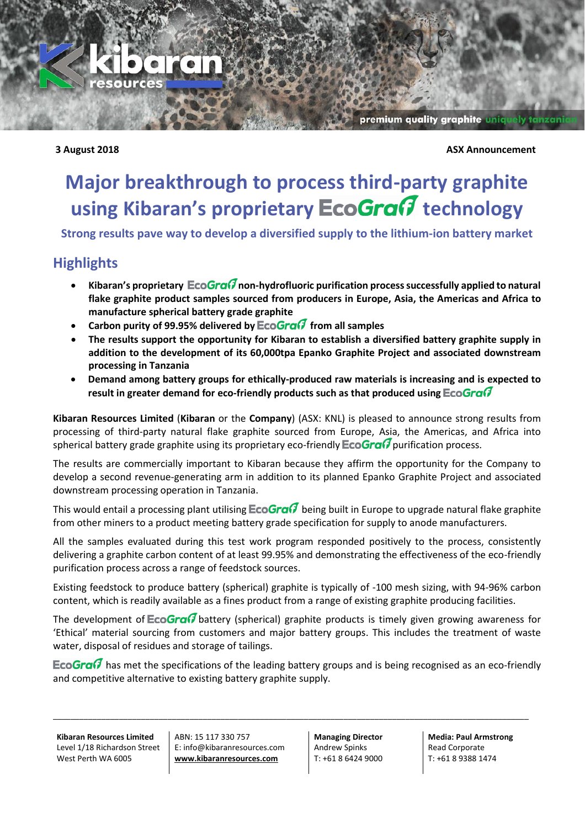

premium quality graphite uniq

## **3 August 2018 ASX Announcement**

## **Major breakthrough to process third-party graphite using Kibaran's proprietary EcoGranger technology**

**Strong results pave way to develop a diversified supply to the lithium-ion battery market**

## **Highlights**

- Kibaran's proprietary EcoGran<sup>7</sup> non-hydrofluoric purification process successfully applied to natural **flake graphite product samples sourced from producers in Europe, Asia, the Americas and Africa to manufacture spherical battery grade graphite**
- Carbon purity of 99.95% delivered by **EcoGra**<sup>7</sup> from all samples
- **The results support the opportunity for Kibaran to establish a diversified battery graphite supply in addition to the development of its 60,000tpa Epanko Graphite Project and associated downstream processing in Tanzania**
- **Demand among battery groups for ethically-produced raw materials is increasing and is expected to result in greater demand for eco-friendly products such as that produced using**

**Kibaran Resources Limited** (**Kibaran** or the **Company**) (ASX: KNL) is pleased to announce strong results from processing of third-party natural flake graphite sourced from Europe, Asia, the Americas, and Africa into spherical battery grade graphite using its proprietary eco-friendly **EcoGra**  $\theta$  purification process.

The results are commercially important to Kibaran because they affirm the opportunity for the Company to develop a second revenue-generating arm in addition to its planned Epanko Graphite Project and associated downstream processing operation in Tanzania.

This would entail a processing plant utilising  $E \text{co}$  Gra $G$  being built in Europe to upgrade natural flake graphite from other miners to a product meeting battery grade specification for supply to anode manufacturers.

All the samples evaluated during this test work program responded positively to the process, consistently delivering a graphite carbon content of at least 99.95% and demonstrating the effectiveness of the eco-friendly purification process across a range of feedstock sources.

Existing feedstock to produce battery (spherical) graphite is typically of -100 mesh sizing, with 94-96% carbon content, which is readily available as a fines product from a range of existing graphite producing facilities.

The development of  $EcoGraG$  battery (spherical) graphite products is timely given growing awareness for 'Ethical' material sourcing from customers and major battery groups. This includes the treatment of waste water, disposal of residues and storage of tailings.

EcoGra $G$  has met the specifications of the leading battery groups and is being recognised as an eco-friendly and competitive alternative to existing battery graphite supply.

\_\_\_\_\_\_\_\_\_\_\_\_\_\_\_\_\_\_\_\_\_\_\_\_\_\_\_\_\_\_\_\_\_\_\_\_\_\_\_\_\_\_\_\_\_\_\_\_\_\_\_\_\_\_\_\_\_\_\_\_\_\_\_\_\_\_\_\_\_\_\_\_\_\_\_\_\_\_\_\_\_\_\_\_\_\_\_\_\_\_\_\_\_\_\_\_\_\_\_\_\_\_\_\_\_\_\_\_

**Kibaran Resources Limited** Level 1/18 Richardson Street West Perth WA 6005

ABN: 15 117 330 757 E: info@kibaranresources.com **www.kibaranresources.com**

**Managing Director** Andrew Spinks T: +61 8 6424 9000

**Media: Paul Armstrong** Read Corporate T: +61 8 9388 1474